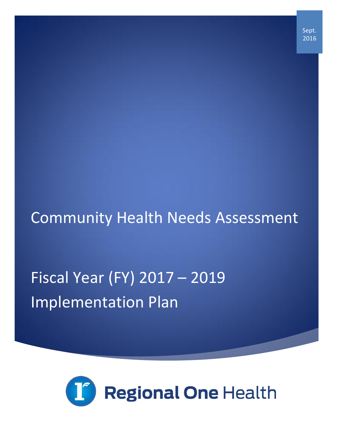Sept. 2016

## Community Health Needs Assessment

# Fiscal Year (FY) 2017 – 2019 Implementation Plan

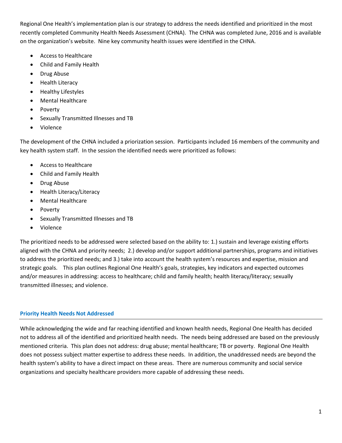Regional One Health's implementation plan is our strategy to address the needs identified and prioritized in the most recently completed Community Health Needs Assessment (CHNA). The CHNA was completed June, 2016 and is available on the organization's website. Nine key community health issues were identified in the CHNA.

- Access to Healthcare
- Child and Family Health
- Drug Abuse
- Health Literacy
- Healthy Lifestyles
- Mental Healthcare
- Poverty
- Sexually Transmitted Illnesses and TB
- Violence

The development of the CHNA included a priorization session. Participants included 16 members of the community and key health system staff. In the session the identified needs were prioritized as follows:

- Access to Healthcare
- Child and Family Health
- Drug Abuse
- Health Literacy/Literacy
- Mental Healthcare
- Poverty
- Sexually Transmitted Illnesses and TB
- Violence

The prioritized needs to be addressed were selected based on the ability to: 1.) sustain and leverage existing efforts aligned with the CHNA and priority needs; 2.) develop and/or support additional partnerships, programs and initiatives to address the prioritized needs; and 3.) take into account the health system's resources and expertise, mission and strategic goals. This plan outlines Regional One Health's goals, strategies, key indicators and expected outcomes and/or measures in addressing: access to healthcare; child and family health; health literacy/literacy; sexually transmitted illnesses; and violence.

#### **Priority Health Needs Not Addressed**

While acknowledging the wide and far reaching identified and known health needs, Regional One Health has decided not to address all of the identified and prioritized health needs. The needs being addressed are based on the previously mentioned criteria. This plan does not address: drug abuse; mental healthcare; TB or poverty. Regional One Health does not possess subject matter expertise to address these needs. In addition, the unaddressed needs are beyond the health system's ability to have a direct impact on these areas. There are numerous community and social service organizations and specialty healthcare providers more capable of addressing these needs.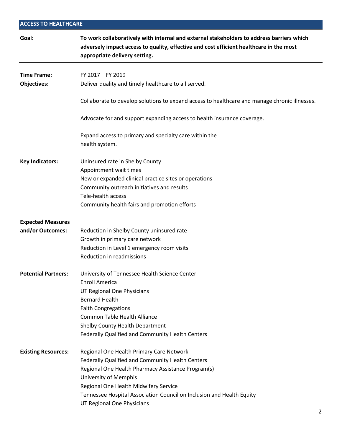### **ACCESS TO HEALTHCARE Goal: To work collaboratively with internal and external stakeholders to address barriers which adversely impact access to quality, effective and cost efficient healthcare in the most appropriate delivery setting. Time Frame:** FY 2017 – FY 2019 **Objectives:** Deliver quality and timely healthcare to all served. Collaborate to develop solutions to expand access to healthcare and manage chronic illnesses. Advocate for and support expanding access to health insurance coverage. Expand access to primary and specialty care within the health system. **Key Indicators:** Uninsured rate in Shelby County Appointment wait times New or expanded clinical practice sites or operations Community outreach initiatives and results Tele-health access Community health fairs and promotion efforts **Expected Measures**  and/or Outcomes: Reduction in Shelby County uninsured rate Growth in primary care network Reduction in Level 1 emergency room visits Reduction in readmissions **Potential Partners:** University of Tennessee Health Science Center Enroll America UT Regional One Physicians Bernard Health Faith Congregations Common Table Health Alliance Shelby County Health Department Federally Qualified and Community Health Centers **Existing Resources:** Regional One Health Primary Care Network Federally Qualified and Community Health Centers Regional One Health Pharmacy Assistance Program(s) University of Memphis Regional One Health Midwifery Service

Tennessee Hospital Association Council on Inclusion and Health Equity

UT Regional One Physicians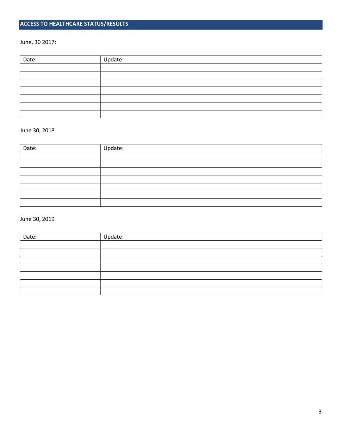#### **ACCESS TO HEALTHCARE STATUS/RESULTS**

June, 30 2017:

| Date: | Update: |
|-------|---------|
|       |         |
|       |         |
|       |         |
|       |         |
|       |         |
|       |         |
|       |         |

#### June 30, 2018

| Date: | Update: |  |
|-------|---------|--|
|       |         |  |
|       |         |  |
|       |         |  |
|       |         |  |
|       |         |  |
|       |         |  |
|       |         |  |

| Date: | Update: |
|-------|---------|
|       |         |
|       |         |
|       |         |
|       |         |
|       |         |
|       |         |
|       |         |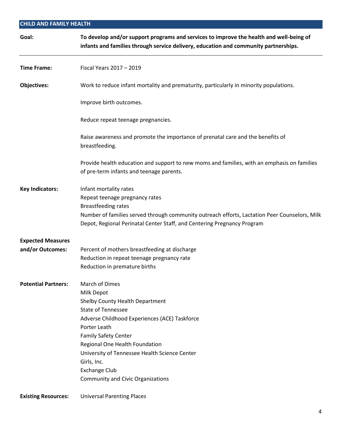| <b>CHILD AND FAMILY HEALTH</b> |                                                                                                                                                                                                                                                                                                                                                                           |  |
|--------------------------------|---------------------------------------------------------------------------------------------------------------------------------------------------------------------------------------------------------------------------------------------------------------------------------------------------------------------------------------------------------------------------|--|
| Goal:                          | To develop and/or support programs and services to improve the health and well-being of<br>infants and families through service delivery, education and community partnerships.                                                                                                                                                                                           |  |
| <b>Time Frame:</b>             | Fiscal Years 2017 - 2019                                                                                                                                                                                                                                                                                                                                                  |  |
| <b>Objectives:</b>             | Work to reduce infant mortality and prematurity, particularly in minority populations.                                                                                                                                                                                                                                                                                    |  |
|                                | Improve birth outcomes.                                                                                                                                                                                                                                                                                                                                                   |  |
|                                | Reduce repeat teenage pregnancies.                                                                                                                                                                                                                                                                                                                                        |  |
|                                | Raise awareness and promote the importance of prenatal care and the benefits of<br>breastfeeding.                                                                                                                                                                                                                                                                         |  |
|                                | Provide health education and support to new moms and families, with an emphasis on families<br>of pre-term infants and teenage parents.                                                                                                                                                                                                                                   |  |
| <b>Key Indicators:</b>         | Infant mortality rates<br>Repeat teenage pregnancy rates<br><b>Breastfeeding rates</b><br>Number of families served through community outreach efforts, Lactation Peer Counselors, Milk<br>Depot, Regional Perinatal Center Staff, and Centering Pregnancy Program                                                                                                        |  |
| <b>Expected Measures</b>       |                                                                                                                                                                                                                                                                                                                                                                           |  |
| and/or Outcomes:               | Percent of mothers breastfeeding at discharge<br>Reduction in repeat teenage pregnancy rate<br>Reduction in premature births                                                                                                                                                                                                                                              |  |
| <b>Potential Partners:</b>     | <b>March of Dimes</b><br>Milk Depot<br>Shelby County Health Department<br><b>State of Tennessee</b><br>Adverse Childhood Experiences (ACE) Taskforce<br>Porter Leath<br><b>Family Safety Center</b><br>Regional One Health Foundation<br>University of Tennessee Health Science Center<br>Girls, Inc.<br><b>Exchange Club</b><br><b>Community and Civic Organizations</b> |  |
| <b>Existing Resources:</b>     | <b>Universal Parenting Places</b>                                                                                                                                                                                                                                                                                                                                         |  |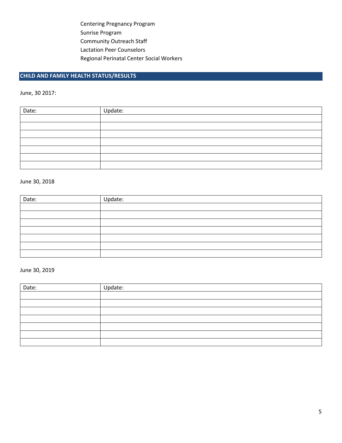Centering Pregnancy Program Sunrise Program Community Outreach Staff Lactation Peer Counselors Regional Perinatal Center Social Workers

#### **CHILD AND FAMILY HEALTH STATUS/RESULTS**

June, 30 2017:

| Date: | Update: |
|-------|---------|
|       |         |
|       |         |
|       |         |
|       |         |
|       |         |
|       |         |
|       |         |

#### June 30, 2018

| Date: | Update: |
|-------|---------|
|       |         |
|       |         |
|       |         |
|       |         |
|       |         |
|       |         |
|       |         |

| Date: | Update: |
|-------|---------|
|       |         |
|       |         |
|       |         |
|       |         |
|       |         |
|       |         |
|       |         |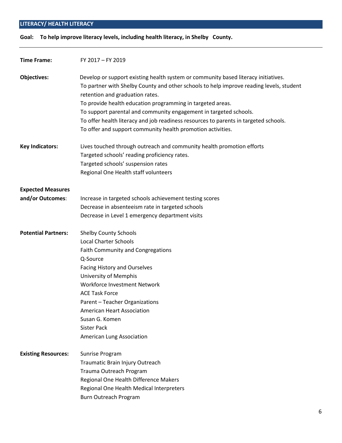#### **LITERACY/ HEALTH LITERACY**

**Goal: To help improve literacy levels, including health literacy, in Shelby County.** 

| <b>Time Frame:</b>         | FY 2017 - FY 2019                                                                                                                                                                                                |
|----------------------------|------------------------------------------------------------------------------------------------------------------------------------------------------------------------------------------------------------------|
| <b>Objectives:</b>         | Develop or support existing health system or community based literacy initiatives.<br>To partner with Shelby County and other schools to help improve reading levels, student<br>retention and graduation rates. |
|                            | To provide health education programming in targeted areas.                                                                                                                                                       |
|                            | To support parental and community engagement in targeted schools.                                                                                                                                                |
|                            | To offer health literacy and job readiness resources to parents in targeted schools.                                                                                                                             |
|                            | To offer and support community health promotion activities.                                                                                                                                                      |
| <b>Key Indicators:</b>     | Lives touched through outreach and community health promotion efforts                                                                                                                                            |
|                            | Targeted schools' reading proficiency rates.                                                                                                                                                                     |
|                            | Targeted schools' suspension rates                                                                                                                                                                               |
|                            | Regional One Health staff volunteers                                                                                                                                                                             |
| <b>Expected Measures</b>   |                                                                                                                                                                                                                  |
| and/or Outcomes:           | Increase in targeted schools achievement testing scores                                                                                                                                                          |
|                            | Decrease in absenteeism rate in targeted schools                                                                                                                                                                 |
|                            | Decrease in Level 1 emergency department visits                                                                                                                                                                  |
| <b>Potential Partners:</b> | <b>Shelby County Schools</b>                                                                                                                                                                                     |
|                            | <b>Local Charter Schools</b>                                                                                                                                                                                     |
|                            | Faith Community and Congregations                                                                                                                                                                                |
|                            | Q-Source                                                                                                                                                                                                         |
|                            | <b>Facing History and Ourselves</b>                                                                                                                                                                              |
|                            | University of Memphis                                                                                                                                                                                            |
|                            | Workforce Investment Network                                                                                                                                                                                     |
|                            | <b>ACE Task Force</b>                                                                                                                                                                                            |
|                            | Parent - Teacher Organizations                                                                                                                                                                                   |
|                            | <b>American Heart Association</b>                                                                                                                                                                                |
|                            | Susan G. Komen                                                                                                                                                                                                   |
|                            | <b>Sister Pack</b>                                                                                                                                                                                               |
|                            | American Lung Association                                                                                                                                                                                        |
| <b>Existing Resources:</b> | Sunrise Program                                                                                                                                                                                                  |
|                            | Traumatic Brain Injury Outreach                                                                                                                                                                                  |
|                            | Trauma Outreach Program                                                                                                                                                                                          |
|                            | Regional One Health Difference Makers                                                                                                                                                                            |
|                            | Regional One Health Medical Interpreters                                                                                                                                                                         |
|                            | Burn Outreach Program                                                                                                                                                                                            |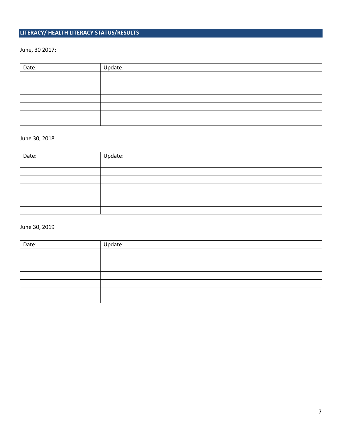#### **LITERACY/ HEALTH LITERACY STATUS/RESULTS**

#### June, 30 2017:

| Date: | Update: |
|-------|---------|
|       |         |
|       |         |
|       |         |
|       |         |
|       |         |
|       |         |
|       |         |

#### June 30, 2018

| Date: | Update: |
|-------|---------|
|       |         |
|       |         |
|       |         |
|       |         |
|       |         |
|       |         |
|       |         |

| Date: | Update: |
|-------|---------|
|       |         |
|       |         |
|       |         |
|       |         |
|       |         |
|       |         |
|       |         |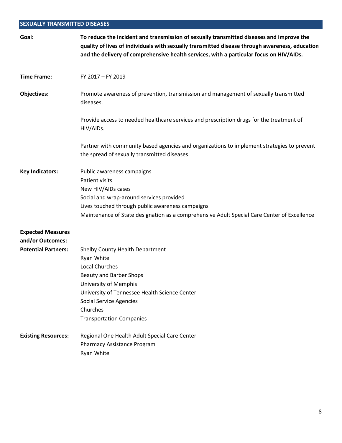#### **SEXUALLY TRANSMITTED DISEASES**

| Goal:                                        | To reduce the incident and transmission of sexually transmitted diseases and improve the<br>quality of lives of individuals with sexually transmitted disease through awareness, education<br>and the delivery of comprehensive health services, with a particular focus on HIV/AIDs. |
|----------------------------------------------|---------------------------------------------------------------------------------------------------------------------------------------------------------------------------------------------------------------------------------------------------------------------------------------|
| <b>Time Frame:</b>                           | FY 2017 - FY 2019                                                                                                                                                                                                                                                                     |
| <b>Objectives:</b>                           | Promote awareness of prevention, transmission and management of sexually transmitted<br>diseases.                                                                                                                                                                                     |
|                                              | Provide access to needed healthcare services and prescription drugs for the treatment of<br>HIV/AIDs.                                                                                                                                                                                 |
|                                              | Partner with community based agencies and organizations to implement strategies to prevent<br>the spread of sexually transmitted diseases.                                                                                                                                            |
| <b>Key Indicators:</b>                       | Public awareness campaigns<br><b>Patient visits</b><br>New HIV/AIDs cases<br>Social and wrap-around services provided<br>Lives touched through public awareness campaigns<br>Maintenance of State designation as a comprehensive Adult Special Care Center of Excellence              |
| <b>Expected Measures</b><br>and/or Outcomes: |                                                                                                                                                                                                                                                                                       |
| <b>Potential Partners:</b>                   | Shelby County Health Department<br>Ryan White<br><b>Local Churches</b><br>Beauty and Barber Shops<br>University of Memphis<br>University of Tennessee Health Science Center<br><b>Social Service Agencies</b><br>Churches<br><b>Transportation Companies</b>                          |
| <b>Existing Resources:</b>                   | Regional One Health Adult Special Care Center<br>Pharmacy Assistance Program<br>Ryan White                                                                                                                                                                                            |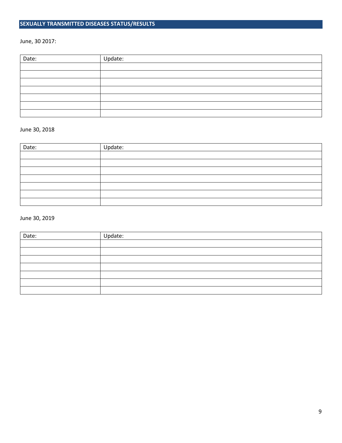#### **SEXUALLY TRANSMITTED DISEASES STATUS/RESULTS**

#### June, 30 2017:

| Date: | Update: |
|-------|---------|
|       |         |
|       |         |
|       |         |
|       |         |
|       |         |
|       |         |
|       |         |

#### June 30, 2018

| Date: | Update: |
|-------|---------|
|       |         |
|       |         |
|       |         |
|       |         |
|       |         |
|       |         |
|       |         |

| Date: | Update: |
|-------|---------|
|       |         |
|       |         |
|       |         |
|       |         |
|       |         |
|       |         |
|       |         |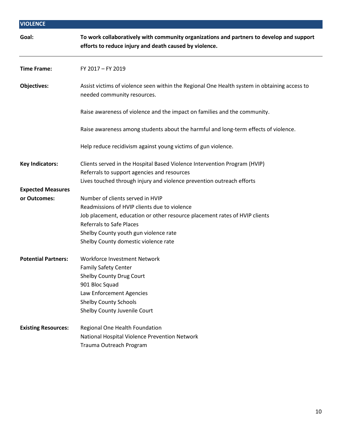| <b>VIOLENCE</b>                          |                                                                                                                                                    |  |
|------------------------------------------|----------------------------------------------------------------------------------------------------------------------------------------------------|--|
| Goal:                                    | To work collaboratively with community organizations and partners to develop and support<br>efforts to reduce injury and death caused by violence. |  |
| <b>Time Frame:</b>                       | FY 2017 - FY 2019                                                                                                                                  |  |
| <b>Objectives:</b>                       | Assist victims of violence seen within the Regional One Health system in obtaining access to<br>needed community resources.                        |  |
|                                          | Raise awareness of violence and the impact on families and the community.                                                                          |  |
|                                          | Raise awareness among students about the harmful and long-term effects of violence.                                                                |  |
|                                          | Help reduce recidivism against young victims of gun violence.                                                                                      |  |
| <b>Key Indicators:</b>                   | Clients served in the Hospital Based Violence Intervention Program (HVIP)<br>Referrals to support agencies and resources                           |  |
|                                          | Lives touched through injury and violence prevention outreach efforts                                                                              |  |
| <b>Expected Measures</b><br>or Outcomes: | Number of clients served in HVIP                                                                                                                   |  |
|                                          | Readmissions of HVIP clients due to violence                                                                                                       |  |
|                                          | Job placement, education or other resource placement rates of HVIP clients                                                                         |  |
|                                          | <b>Referrals to Safe Places</b>                                                                                                                    |  |
|                                          | Shelby County youth gun violence rate                                                                                                              |  |
|                                          | Shelby County domestic violence rate                                                                                                               |  |
| <b>Potential Partners:</b>               | Workforce Investment Network                                                                                                                       |  |
|                                          | <b>Family Safety Center</b>                                                                                                                        |  |
|                                          | <b>Shelby County Drug Court</b>                                                                                                                    |  |
|                                          | 901 Bloc Squad                                                                                                                                     |  |
|                                          | Law Enforcement Agencies                                                                                                                           |  |
|                                          | <b>Shelby County Schools</b><br>Shelby County Juvenile Court                                                                                       |  |
| <b>Existing Resources:</b>               | Regional One Health Foundation                                                                                                                     |  |
|                                          | National Hospital Violence Prevention Network                                                                                                      |  |
|                                          | Trauma Outreach Program                                                                                                                            |  |